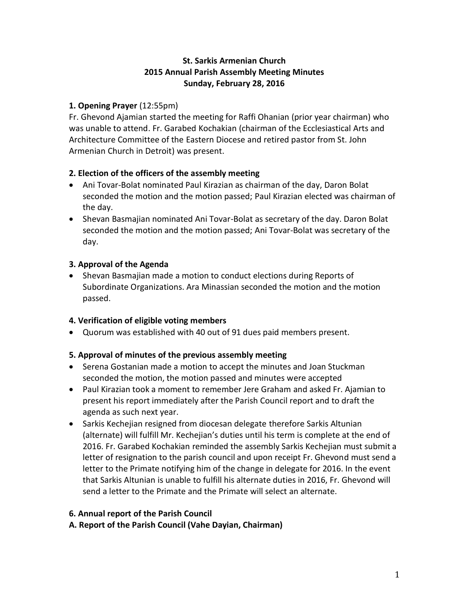# **St. Sarkis Armenian Church 2015 Annual Parish Assembly Meeting Minutes Sunday, February 28, 2016**

# **1. Opening Prayer** (12:55pm)

Fr. Ghevond Ajamian started the meeting for Raffi Ohanian (prior year chairman) who was unable to attend. Fr. Garabed Kochakian (chairman of the Ecclesiastical Arts and Architecture Committee of the Eastern Diocese and retired pastor from St. John Armenian Church in Detroit) was present.

# **2. Election of the officers of the assembly meeting**

- Ani Tovar-Bolat nominated Paul Kirazian as chairman of the day, Daron Bolat seconded the motion and the motion passed; Paul Kirazian elected was chairman of the day.
- Shevan Basmajian nominated Ani Tovar-Bolat as secretary of the day. Daron Bolat seconded the motion and the motion passed; Ani Tovar-Bolat was secretary of the day.

# **3. Approval of the Agenda**

 Shevan Basmajian made a motion to conduct elections during Reports of Subordinate Organizations. Ara Minassian seconded the motion and the motion passed.

## **4. Verification of eligible voting members**

Quorum was established with 40 out of 91 dues paid members present.

## **5. Approval of minutes of the previous assembly meeting**

- Serena Gostanian made a motion to accept the minutes and Joan Stuckman seconded the motion, the motion passed and minutes were accepted
- Paul Kirazian took a moment to remember Jere Graham and asked Fr. Ajamian to present his report immediately after the Parish Council report and to draft the agenda as such next year.
- Sarkis Kechejian resigned from diocesan delegate therefore Sarkis Altunian (alternate) will fulfill Mr. Kechejian's duties until his term is complete at the end of 2016. Fr. Garabed Kochakian reminded the assembly Sarkis Kechejian must submit a letter of resignation to the parish council and upon receipt Fr. Ghevond must send a letter to the Primate notifying him of the change in delegate for 2016. In the event that Sarkis Altunian is unable to fulfill his alternate duties in 2016, Fr. Ghevond will send a letter to the Primate and the Primate will select an alternate.

## **6. Annual report of the Parish Council**

**A. Report of the Parish Council (Vahe Dayian, Chairman)**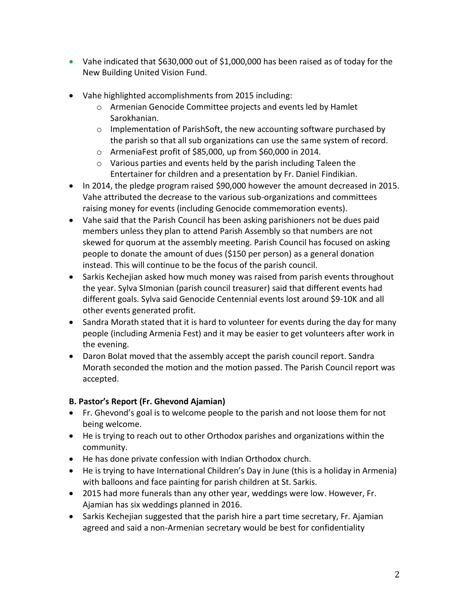- Vahe indicated that \$630,000 out of \$1,000,000 has been raised as of today for the New Building United Vision Fund.
- Vahe highlighted accomplishments from 2015 including:
	- o Armenian Genocide Committee projects and events led by Hamlet Sarokhanian.
	- $\circ$  Implementation of ParishSoft, the new accounting software purchased by the parish so that all sub organizations can use the same system of record.
	- o ArmeniaFest profit of \$85,000, up from \$60,000 in 2014.
	- o Various parties and events held by the parish including Taleen the Entertainer for children and a presentation by Fr. Daniel Findikian.
- In 2014, the pledge program raised \$90,000 however the amount decreased in 2015. Vahe attributed the decrease to the various sub-organizations and committees raising money for events (including Genocide commemoration events).
- Vahe said that the Parish Council has been asking parishioners not be dues paid members unless they plan to attend Parish Assembly so that numbers are not skewed for quorum at the assembly meeting. Parish Council has focused on asking people to donate the amount of dues (\$150 per person) as a general donation instead. This will continue to be the focus of the parish council.
- Sarkis Kechejian asked how much money was raised from parish events throughout the year. Sylva SImonian (parish council treasurer) said that different events had different goals. Sylva said Genocide Centennial events lost around \$9-10K and all other events generated profit.
- Sandra Morath stated that it is hard to volunteer for events during the day for many people (including Armenia Fest) and it may be easier to get volunteers after work in the evening.
- Daron Bolat moved that the assembly accept the parish council report. Sandra Morath seconded the motion and the motion passed. The Parish Council report was accepted.

# **B. Pastor's Report (Fr. Ghevond Ajamian)**

- Fr. Ghevond's goal is to welcome people to the parish and not loose them for not being welcome.
- He is trying to reach out to other Orthodox parishes and organizations within the community.
- He has done private confession with Indian Orthodox church.
- He is trying to have International Children's Day in June (this is a holiday in Armenia) with balloons and face painting for parish children at St. Sarkis.
- 2015 had more funerals than any other year, weddings were low. However, Fr. Ajamian has six weddings planned in 2016.
- Sarkis Kechejian suggested that the parish hire a part time secretary, Fr. Ajamian agreed and said a non-Armenian secretary would be best for confidentiality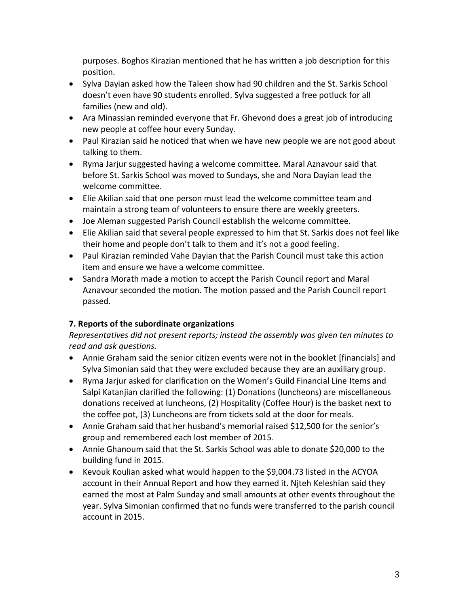purposes. Boghos Kirazian mentioned that he has written a job description for this position.

- Sylva Dayian asked how the Taleen show had 90 children and the St. Sarkis School doesn't even have 90 students enrolled. Sylva suggested a free potluck for all families (new and old).
- Ara Minassian reminded everyone that Fr. Ghevond does a great job of introducing new people at coffee hour every Sunday.
- Paul Kirazian said he noticed that when we have new people we are not good about talking to them.
- Ryma Jarjur suggested having a welcome committee. Maral Aznavour said that before St. Sarkis School was moved to Sundays, she and Nora Dayian lead the welcome committee.
- Elie Akilian said that one person must lead the welcome committee team and maintain a strong team of volunteers to ensure there are weekly greeters.
- Joe Aleman suggested Parish Council establish the welcome committee.
- Elie Akilian said that several people expressed to him that St. Sarkis does not feel like their home and people don't talk to them and it's not a good feeling.
- Paul Kirazian reminded Vahe Dayian that the Parish Council must take this action item and ensure we have a welcome committee.
- Sandra Morath made a motion to accept the Parish Council report and Maral Aznavour seconded the motion. The motion passed and the Parish Council report passed.

# **7. Reports of the subordinate organizations**

# *Representatives did not present reports; instead the assembly was given ten minutes to read and ask questions.*

- Annie Graham said the senior citizen events were not in the booklet [financials] and Sylva Simonian said that they were excluded because they are an auxiliary group.
- Ryma Jarjur asked for clarification on the Women's Guild Financial Line Items and Salpi Katanjian clarified the following: (1) Donations (luncheons) are miscellaneous donations received at luncheons, (2) Hospitality (Coffee Hour) is the basket next to the coffee pot, (3) Luncheons are from tickets sold at the door for meals.
- Annie Graham said that her husband's memorial raised \$12,500 for the senior's group and remembered each lost member of 2015.
- Annie Ghanoum said that the St. Sarkis School was able to donate \$20,000 to the building fund in 2015.
- Kevouk Koulian asked what would happen to the \$9,004.73 listed in the ACYOA account in their Annual Report and how they earned it. Njteh Keleshian said they earned the most at Palm Sunday and small amounts at other events throughout the year. Sylva Simonian confirmed that no funds were transferred to the parish council account in 2015.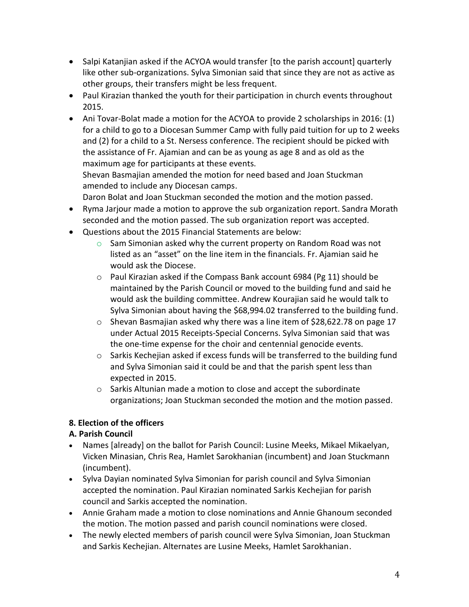- Salpi Katanjian asked if the ACYOA would transfer [to the parish account] quarterly like other sub-organizations. Sylva Simonian said that since they are not as active as other groups, their transfers might be less frequent.
- Paul Kirazian thanked the youth for their participation in church events throughout 2015.
- Ani Tovar-Bolat made a motion for the ACYOA to provide 2 scholarships in 2016: (1) for a child to go to a Diocesan Summer Camp with fully paid tuition for up to 2 weeks and (2) for a child to a St. Nersess conference. The recipient should be picked with the assistance of Fr. Ajamian and can be as young as age 8 and as old as the maximum age for participants at these events. Shevan Basmajian amended the motion for need based and Joan Stuckman amended to include any Diocesan camps.

Daron Bolat and Joan Stuckman seconded the motion and the motion passed.

- Ryma Jarjour made a motion to approve the sub organization report. Sandra Morath seconded and the motion passed. The sub organization report was accepted.
- Questions about the 2015 Financial Statements are below:
	- $\circ$  Sam Simonian asked why the current property on Random Road was not listed as an "asset" on the line item in the financials. Fr. Ajamian said he would ask the Diocese.
	- $\circ$  Paul Kirazian asked if the Compass Bank account 6984 (Pg 11) should be maintained by the Parish Council or moved to the building fund and said he would ask the building committee. Andrew Kourajian said he would talk to Sylva Simonian about having the \$68,994.02 transferred to the building fund.
	- $\circ$  Shevan Basmajian asked why there was a line item of \$28,622.78 on page 17 under Actual 2015 Receipts-Special Concerns. Sylva Simonian said that was the one-time expense for the choir and centennial genocide events.
	- $\circ$  Sarkis Kechejian asked if excess funds will be transferred to the building fund and Sylva Simonian said it could be and that the parish spent less than expected in 2015.
	- o Sarkis Altunian made a motion to close and accept the subordinate organizations; Joan Stuckman seconded the motion and the motion passed.

# **8. Election of the officers**

# **A. Parish Council**

- Names [already] on the ballot for Parish Council: Lusine Meeks, Mikael Mikaelyan, Vicken Minasian, Chris Rea, Hamlet Sarokhanian (incumbent) and Joan Stuckmann (incumbent).
- Sylva Dayian nominated Sylva Simonian for parish council and Sylva Simonian accepted the nomination. Paul Kirazian nominated Sarkis Kechejian for parish council and Sarkis accepted the nomination.
- Annie Graham made a motion to close nominations and Annie Ghanoum seconded the motion. The motion passed and parish council nominations were closed.
- The newly elected members of parish council were Sylva Simonian, Joan Stuckman and Sarkis Kechejian. Alternates are Lusine Meeks, Hamlet Sarokhanian.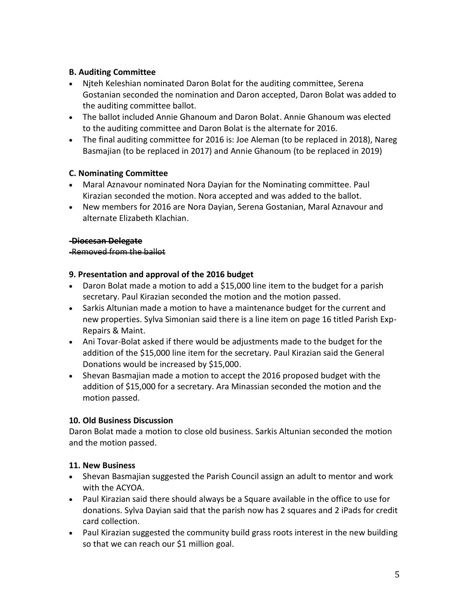## **B. Auditing Committee**

- Njteh Keleshian nominated Daron Bolat for the auditing committee, Serena Gostanian seconded the nomination and Daron accepted, Daron Bolat was added to the auditing committee ballot.
- The ballot included Annie Ghanoum and Daron Bolat. Annie Ghanoum was elected to the auditing committee and Daron Bolat is the alternate for 2016.
- The final auditing committee for 2016 is: Joe Aleman (to be replaced in 2018), Nareg Basmajian (to be replaced in 2017) and Annie Ghanoum (to be replaced in 2019)

## **C. Nominating Committee**

- Maral Aznavour nominated Nora Dayian for the Nominating committee. Paul Kirazian seconded the motion. Nora accepted and was added to the ballot.
- New members for 2016 are Nora Dayian, Serena Gostanian, Maral Aznavour and alternate Elizabeth Klachian.

#### **-Diocesan Delegate**

#### -Removed from the ballot

#### **9. Presentation and approval of the 2016 budget**

- Daron Bolat made a motion to add a \$15,000 line item to the budget for a parish secretary. Paul Kirazian seconded the motion and the motion passed.
- Sarkis Altunian made a motion to have a maintenance budget for the current and new properties. Sylva Simonian said there is a line item on page 16 titled Parish Exp-Repairs & Maint.
- Ani Tovar-Bolat asked if there would be adjustments made to the budget for the addition of the \$15,000 line item for the secretary. Paul Kirazian said the General Donations would be increased by \$15,000.
- Shevan Basmajian made a motion to accept the 2016 proposed budget with the addition of \$15,000 for a secretary. Ara Minassian seconded the motion and the motion passed.

## **10. Old Business Discussion**

Daron Bolat made a motion to close old business. Sarkis Altunian seconded the motion and the motion passed.

## **11. New Business**

- Shevan Basmajian suggested the Parish Council assign an adult to mentor and work with the ACYOA.
- Paul Kirazian said there should always be a Square available in the office to use for donations. Sylva Dayian said that the parish now has 2 squares and 2 iPads for credit card collection.
- Paul Kirazian suggested the community build grass roots interest in the new building so that we can reach our \$1 million goal.